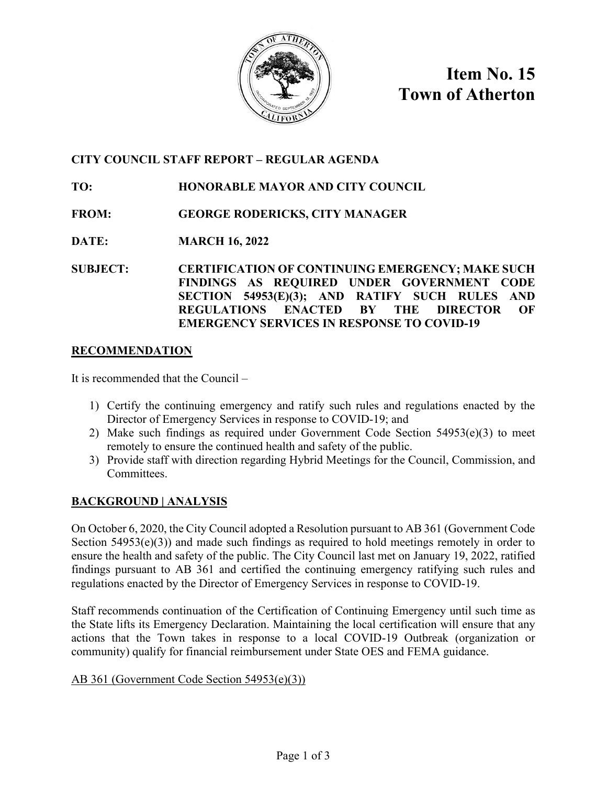

**Item No. 15 Town of Atherton**

# **CITY COUNCIL STAFF REPORT – REGULAR AGENDA**

# **TO: HONORABLE MAYOR AND CITY COUNCIL**

- **FROM: GEORGE RODERICKS, CITY MANAGER**
- **DATE: MARCH 16, 2022**
- **SUBJECT: CERTIFICATION OF CONTINUING EMERGENCY; MAKE SUCH FINDINGS AS REQUIRED UNDER GOVERNMENT CODE SECTION 54953(E)(3); AND RATIFY SUCH RULES AND REGULATIONS ENACTED BY THE DIRECTOR OF EMERGENCY SERVICES IN RESPONSE TO COVID-19**

## **RECOMMENDATION**

It is recommended that the Council –

- 1) Certify the continuing emergency and ratify such rules and regulations enacted by the Director of Emergency Services in response to COVID-19; and
- 2) Make such findings as required under Government Code Section 54953(e)(3) to meet remotely to ensure the continued health and safety of the public.
- 3) Provide staff with direction regarding Hybrid Meetings for the Council, Commission, and Committees.

## **BACKGROUND | ANALYSIS**

On October 6, 2020, the City Council adopted a Resolution pursuant to AB 361 (Government Code Section  $54953(e)(3)$  and made such findings as required to hold meetings remotely in order to ensure the health and safety of the public. The City Council last met on January 19, 2022, ratified findings pursuant to AB 361 and certified the continuing emergency ratifying such rules and regulations enacted by the Director of Emergency Services in response to COVID-19.

Staff recommends continuation of the Certification of Continuing Emergency until such time as the State lifts its Emergency Declaration. Maintaining the local certification will ensure that any actions that the Town takes in response to a local COVID-19 Outbreak (organization or community) qualify for financial reimbursement under State OES and FEMA guidance.

## AB 361 (Government Code Section 54953(e)(3))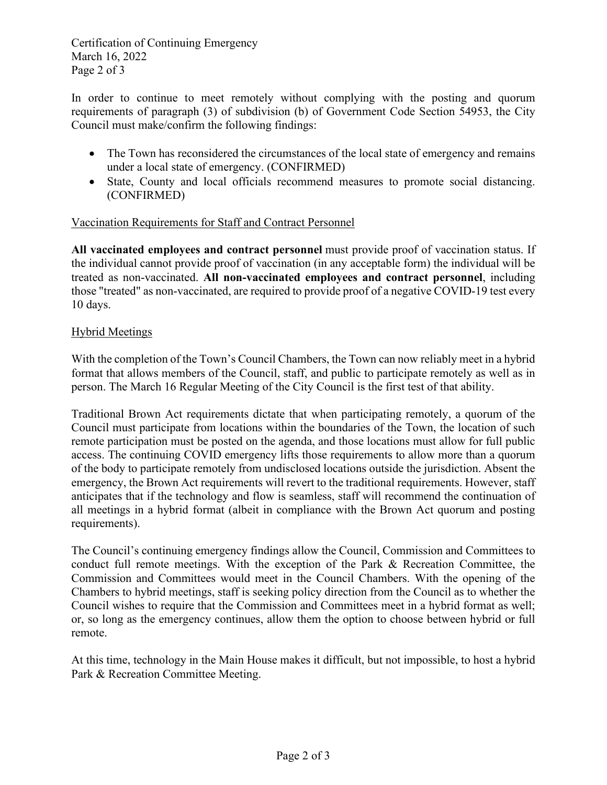Certification of Continuing Emergency March 16, 2022 Page 2 of 3

In order to continue to meet remotely without complying with the posting and quorum requirements of paragraph (3) of subdivision (b) of Government Code Section 54953, the City Council must make/confirm the following findings:

- The Town has reconsidered the circumstances of the local state of emergency and remains under a local state of emergency. (CONFIRMED)
- State, County and local officials recommend measures to promote social distancing. (CONFIRMED)

## Vaccination Requirements for Staff and Contract Personnel

**All vaccinated employees and contract personnel** must provide proof of vaccination status. If the individual cannot provide proof of vaccination (in any acceptable form) the individual will be treated as non-vaccinated. **All non-vaccinated employees and contract personnel**, including those "treated" as non-vaccinated, are required to provide proof of a negative COVID-19 test every 10 days.

## Hybrid Meetings

With the completion of the Town's Council Chambers, the Town can now reliably meet in a hybrid format that allows members of the Council, staff, and public to participate remotely as well as in person. The March 16 Regular Meeting of the City Council is the first test of that ability.

Traditional Brown Act requirements dictate that when participating remotely, a quorum of the Council must participate from locations within the boundaries of the Town, the location of such remote participation must be posted on the agenda, and those locations must allow for full public access. The continuing COVID emergency lifts those requirements to allow more than a quorum of the body to participate remotely from undisclosed locations outside the jurisdiction. Absent the emergency, the Brown Act requirements will revert to the traditional requirements. However, staff anticipates that if the technology and flow is seamless, staff will recommend the continuation of all meetings in a hybrid format (albeit in compliance with the Brown Act quorum and posting requirements).

The Council's continuing emergency findings allow the Council, Commission and Committees to conduct full remote meetings. With the exception of the Park & Recreation Committee, the Commission and Committees would meet in the Council Chambers. With the opening of the Chambers to hybrid meetings, staff is seeking policy direction from the Council as to whether the Council wishes to require that the Commission and Committees meet in a hybrid format as well; or, so long as the emergency continues, allow them the option to choose between hybrid or full remote.

At this time, technology in the Main House makes it difficult, but not impossible, to host a hybrid Park & Recreation Committee Meeting.